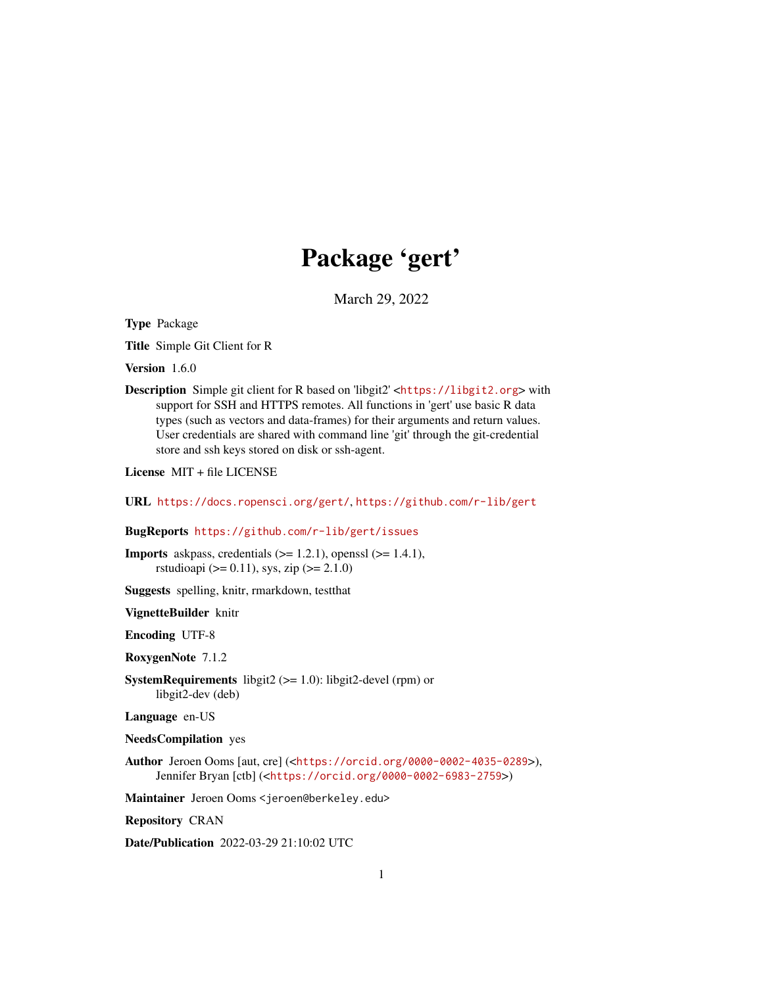# Package 'gert'

March 29, 2022

<span id="page-0-0"></span>Type Package

Title Simple Git Client for R

Version 1.6.0

Description Simple git client for R based on 'libgit2' <<https://libgit2.org>> with support for SSH and HTTPS remotes. All functions in 'gert' use basic R data types (such as vectors and data-frames) for their arguments and return values. User credentials are shared with command line 'git' through the git-credential store and ssh keys stored on disk or ssh-agent.

License MIT + file LICENSE

```
URL https://docs.ropensci.org/gert/, https://github.com/r-lib/gert
```
# BugReports <https://github.com/r-lib/gert/issues>

**Imports** askpass, credentials  $(>= 1.2.1)$ , openssl  $(>= 1.4.1)$ , rstudioapi ( $> = 0.11$ ), sys, zip ( $>= 2.1.0$ )

Suggests spelling, knitr, rmarkdown, testthat

VignetteBuilder knitr

Encoding UTF-8

RoxygenNote 7.1.2

**SystemRequirements** libgit2 ( $>= 1.0$ ): libgit2-devel (rpm) or libgit2-dev (deb)

Language en-US

```
NeedsCompilation yes
```
Author Jeroen Ooms [aut, cre] (<<https://orcid.org/0000-0002-4035-0289>>), Jennifer Bryan [ctb] (<<https://orcid.org/0000-0002-6983-2759>>)

Maintainer Jeroen Ooms <jeroen@berkeley.edu>

Repository CRAN

Date/Publication 2022-03-29 21:10:02 UTC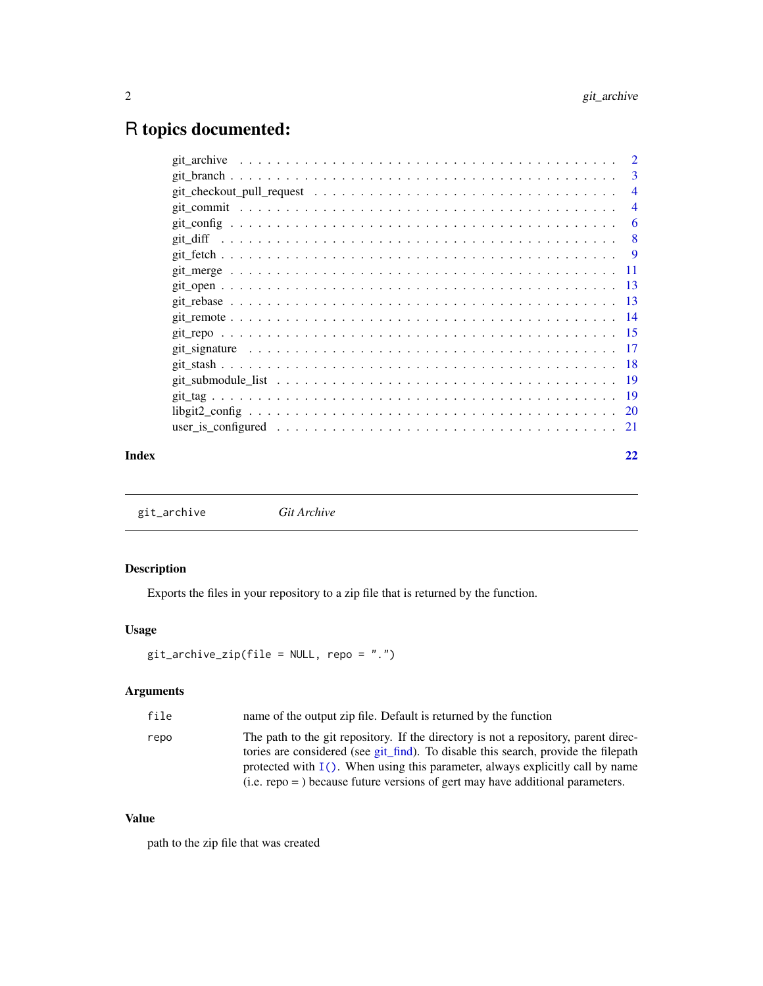# <span id="page-1-0"></span>R topics documented:

|       |                                                                                                          | $\overline{2}$ |
|-------|----------------------------------------------------------------------------------------------------------|----------------|
|       |                                                                                                          | $\overline{3}$ |
|       | git checkout pull request $\ldots \ldots \ldots \ldots \ldots \ldots \ldots \ldots \ldots \ldots \ldots$ | $\overline{4}$ |
|       |                                                                                                          | $\overline{4}$ |
|       |                                                                                                          | -6             |
|       |                                                                                                          | - 8            |
|       |                                                                                                          |                |
|       |                                                                                                          |                |
|       |                                                                                                          |                |
|       |                                                                                                          |                |
|       |                                                                                                          |                |
|       |                                                                                                          |                |
|       |                                                                                                          |                |
|       |                                                                                                          |                |
|       |                                                                                                          |                |
|       |                                                                                                          |                |
|       |                                                                                                          |                |
|       |                                                                                                          |                |
| Index |                                                                                                          | 22             |

<span id="page-1-1"></span>git\_archive *Git Archive*

# Description

Exports the files in your repository to a zip file that is returned by the function.

# Usage

```
git_archive_zip(file = NULL, repo = ".")
```
# Arguments

| file | name of the output zip file. Default is returned by the function                                                                                                                                                                                              |
|------|---------------------------------------------------------------------------------------------------------------------------------------------------------------------------------------------------------------------------------------------------------------|
| repo | The path to the git repository. If the directory is not a repository, parent direc-<br>tories are considered (see git find). To disable this search, provide the filepath<br>protected with $I()$ . When using this parameter, always explicitly call by name |
|      | $(i.e.$ repo = $)$ because future versions of gert may have additional parameters.                                                                                                                                                                            |

# Value

path to the zip file that was created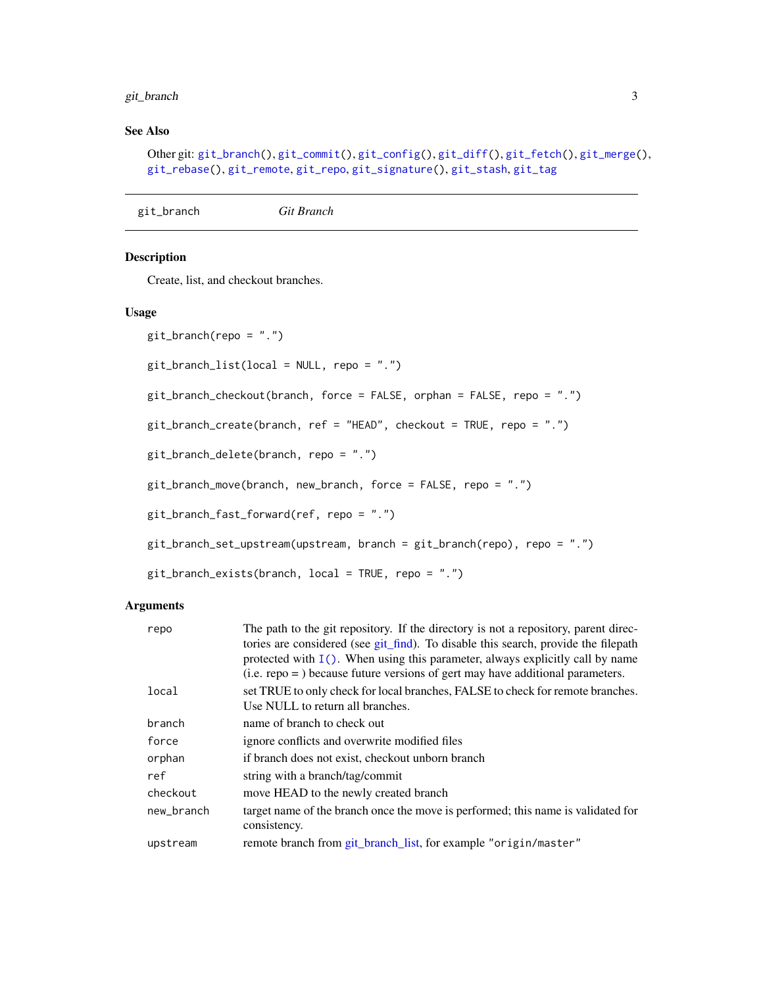# <span id="page-2-0"></span>git\_branch 3

# See Also

```
Other git: git_branch(), git_commit(), git_config(), git_diff(), git_fetch(), git_merge(),
git_rebase(), git_remote, git_repo, git_signature(), git_stash, git_tag
```

```
git_branch Git Branch
```
#### <span id="page-2-2"></span>Description

Create, list, and checkout branches.

#### Usage

```
git_branch(repo = ".")
git_branch_list(local = NULL, repo = ".")
git_branch_checkout(branch, force = FALSE, orphan = FALSE, repo = ".")
git_branch_create(branch, ref = "HEAD", checkout = TRUE, repo = ".")
git_branch_delete(branch, repo = ".")
git_branch_move(branch, new_branch, force = FALSE, repo = ".")
git_branch_fast_forward(ref, repo = ".")
git_branch_set_upstream(upstream, branch = git_branch(repo), repo = ".")
git_branch_exists(branch, local = TRUE, repo = ".")
```
#### Arguments

| repo       | The path to the git repository. If the directory is not a repository, parent direc-<br>tories are considered (see git_find). To disable this search, provide the filepath<br>protected with $I()$ . When using this parameter, always explicitly call by name<br>$(i.e.$ repo = $)$ because future versions of gert may have additional parameters. |
|------------|-----------------------------------------------------------------------------------------------------------------------------------------------------------------------------------------------------------------------------------------------------------------------------------------------------------------------------------------------------|
| local      | set TRUE to only check for local branches, FALSE to check for remote branches.<br>Use NULL to return all branches.                                                                                                                                                                                                                                  |
| branch     | name of branch to check out                                                                                                                                                                                                                                                                                                                         |
| force      | ignore conflicts and overwrite modified files                                                                                                                                                                                                                                                                                                       |
| orphan     | if branch does not exist, checkout unborn branch                                                                                                                                                                                                                                                                                                    |
| ref        | string with a branch/tag/commit                                                                                                                                                                                                                                                                                                                     |
| checkout   | move HEAD to the newly created branch                                                                                                                                                                                                                                                                                                               |
| new branch | target name of the branch once the move is performed; this name is validated for<br>consistency.                                                                                                                                                                                                                                                    |
| upstream   | remote branch from git_branch_list, for example "origin/master"                                                                                                                                                                                                                                                                                     |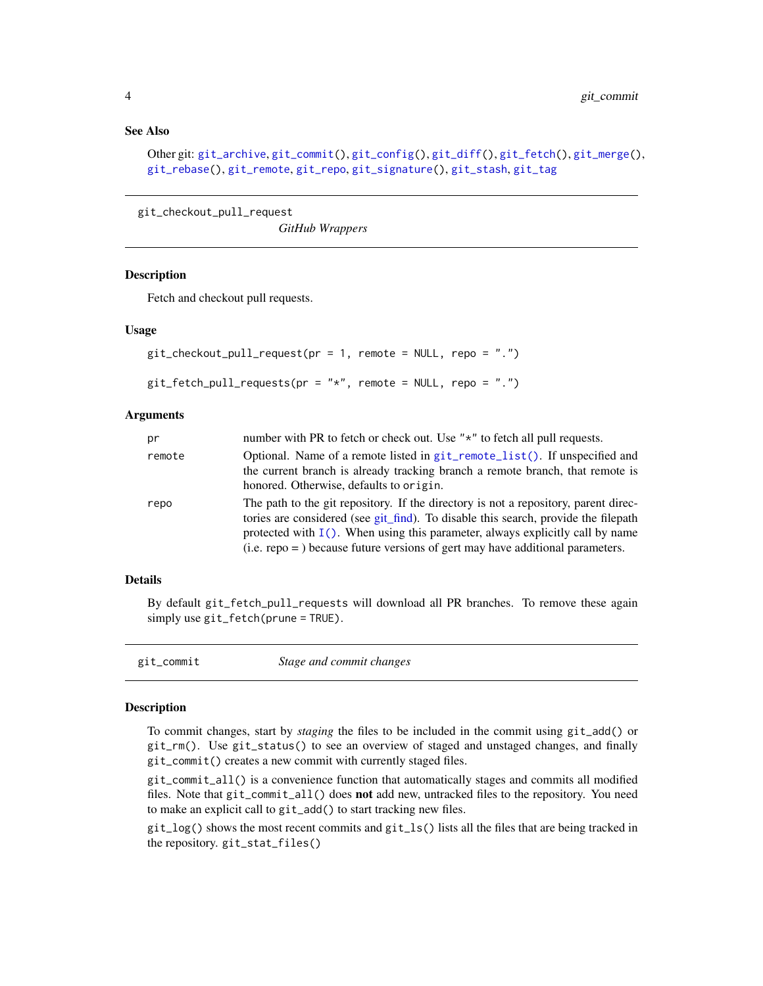# <span id="page-3-0"></span>See Also

```
Other git: git_archive, git_commit(), git_config(), git_diff(), git_fetch(), git_merge(),
git_rebase(), git_remote, git_repo, git_signature(), git_stash, git_tag
```

```
git_checkout_pull_request
```

```
GitHub Wrappers
```
# Description

Fetch and checkout pull requests.

#### Usage

```
git_checkout_pull_request(pr = 1, remote = NULL, repo = ".")
git_fetch_pull_requests(pr = "*", remote = NULL, repo = ".")
```
#### Arguments

| pr     | number with PR to fetch or check out. Use "*" to fetch all pull requests.                                                                                                                                                                                                                                                                           |
|--------|-----------------------------------------------------------------------------------------------------------------------------------------------------------------------------------------------------------------------------------------------------------------------------------------------------------------------------------------------------|
| remote | Optional. Name of a remote listed in $git$ <sub>remote</sub> list(). If unspecified and<br>the current branch is already tracking branch a remote branch, that remote is<br>honored. Otherwise, defaults to origin.                                                                                                                                 |
| repo   | The path to the git repository. If the directory is not a repository, parent direc-<br>tories are considered (see git_find). To disable this search, provide the filepath<br>protected with $I()$ . When using this parameter, always explicitly call by name<br>$(i.e.$ repo = $)$ because future versions of gert may have additional parameters. |

### Details

By default git\_fetch\_pull\_requests will download all PR branches. To remove these again simply use git\_fetch(prune = TRUE).

<span id="page-3-1"></span>

| git_commit | Stage and commit changes |  |
|------------|--------------------------|--|
|            |                          |  |

#### **Description**

To commit changes, start by *staging* the files to be included in the commit using git\_add() or git\_rm(). Use git\_status() to see an overview of staged and unstaged changes, and finally git\_commit() creates a new commit with currently staged files.

git\_commit\_all() is a convenience function that automatically stages and commits all modified files. Note that git\_commit\_all() does **not** add new, untracked files to the repository. You need to make an explicit call to git\_add() to start tracking new files.

git\_log() shows the most recent commits and git\_ls() lists all the files that are being tracked in the repository. git\_stat\_files()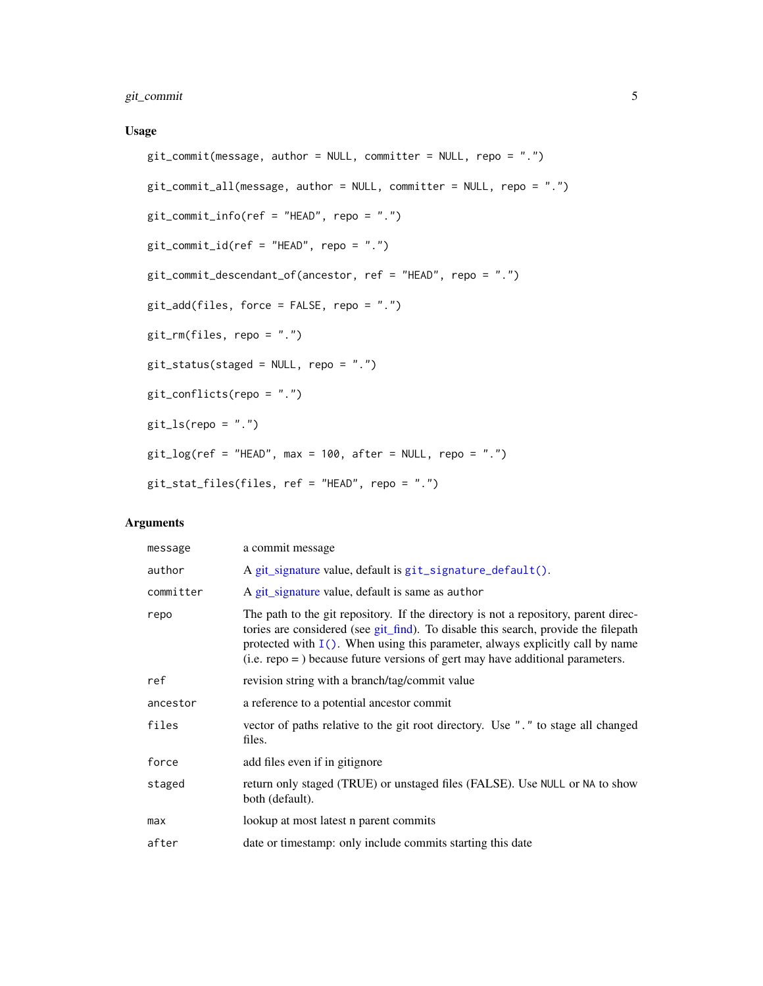# <span id="page-4-0"></span>git\_commit 5

# Usage

```
git_commit(message, author = NULL, committer = NULL, repo = ".")
git_{\text{com}}/ all(message, author = NULL, committer = NULL, repo = ".")
git_commit_info(ref = "HEAD", repo = ".")
git_commit_id(ref = "HEAD", repo = ".")
git_commit_descendant_of(ancestor, ref = "HEAD", repo = ".")
git_add(files, force = FALSE, repo = ".")
git_rm(files, repo = ".")
git_status(staged = NULL, repo = ".")
git_conflicts(repo = ".")
git_ls(repo = "."')git_log(ref = "HEAD", max = 100, after = NULL, repo = ".")git_stat_files(files, ref = "HEAD", repo = ".")
```
# Arguments

| message   | a commit message                                                                                                                                                                                                                                                                                                                                    |
|-----------|-----------------------------------------------------------------------------------------------------------------------------------------------------------------------------------------------------------------------------------------------------------------------------------------------------------------------------------------------------|
| author    | A git_signature value, default is git_signature_default().                                                                                                                                                                                                                                                                                          |
| committer | A git_signature value, default is same as author                                                                                                                                                                                                                                                                                                    |
| repo      | The path to the git repository. If the directory is not a repository, parent direc-<br>tories are considered (see git_find). To disable this search, provide the filepath<br>protected with $I()$ . When using this parameter, always explicitly call by name<br>$(i.e.$ repo = $)$ because future versions of gert may have additional parameters. |
| ref       | revision string with a branch/tag/commit value                                                                                                                                                                                                                                                                                                      |
| ancestor  | a reference to a potential ancestor commit                                                                                                                                                                                                                                                                                                          |
| files     | vector of paths relative to the git root directory. Use "." to stage all changed<br>files.                                                                                                                                                                                                                                                          |
| force     | add files even if in gitignore                                                                                                                                                                                                                                                                                                                      |
| staged    | return only staged (TRUE) or unstaged files (FALSE). Use NULL or NA to show<br>both (default).                                                                                                                                                                                                                                                      |
| max       | lookup at most latest n parent commits                                                                                                                                                                                                                                                                                                              |
| after     | date or timestamp: only include commits starting this date                                                                                                                                                                                                                                                                                          |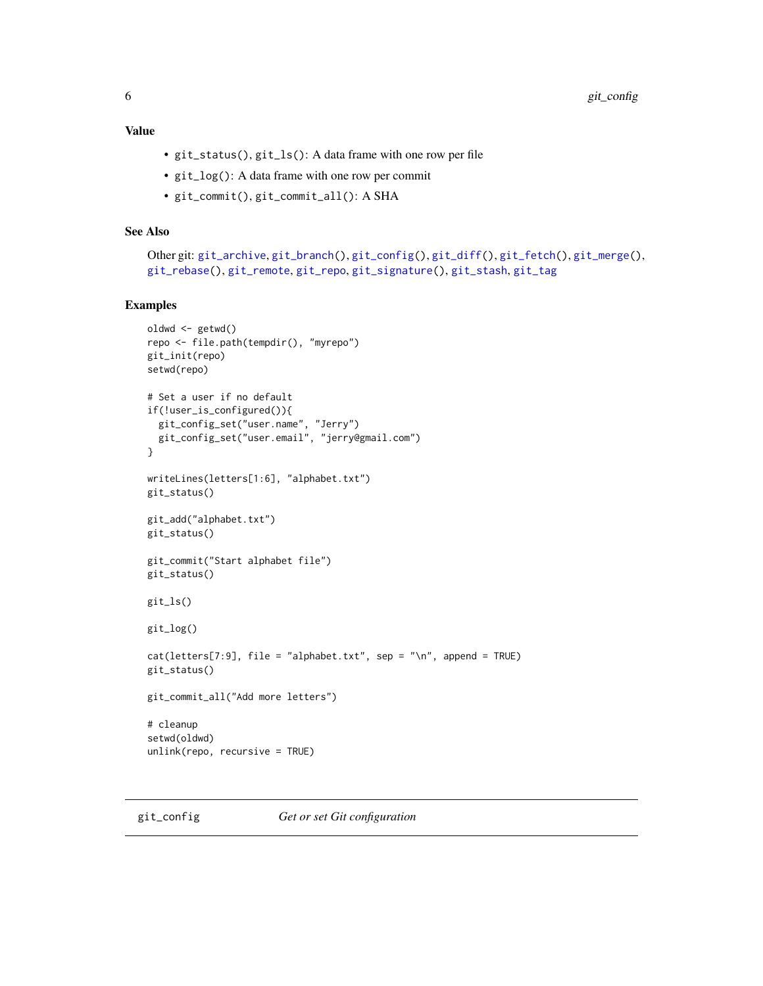# <span id="page-5-0"></span>Value

- git\_status(), git\_ls(): A data frame with one row per file
- git\_log(): A data frame with one row per commit
- git\_commit(), git\_commit\_all(): A SHA

# See Also

```
Other git: git_archive, git_branch(), git_config(), git_diff(), git_fetch(), git_merge(),
git_rebase(), git_remote, git_repo, git_signature(), git_stash, git_tag
```
#### Examples

```
oldwd <- getwd()
repo <- file.path(tempdir(), "myrepo")
git_init(repo)
setwd(repo)
# Set a user if no default
if(!user_is_configured()){
  git_config_set("user.name", "Jerry")
  git_config_set("user.email", "jerry@gmail.com")
}
writeLines(letters[1:6], "alphabet.txt")
git_status()
git_add("alphabet.txt")
git_status()
git_commit("Start alphabet file")
git_status()
git_ls()
git_log()
cat(leters[7:9], file = "alphabet.txt", sep = "\\n", append = TRUE)git_status()
git_commit_all("Add more letters")
# cleanup
setwd(oldwd)
unlink(repo, recursive = TRUE)
```
<span id="page-5-1"></span>git\_config *Get or set Git configuration*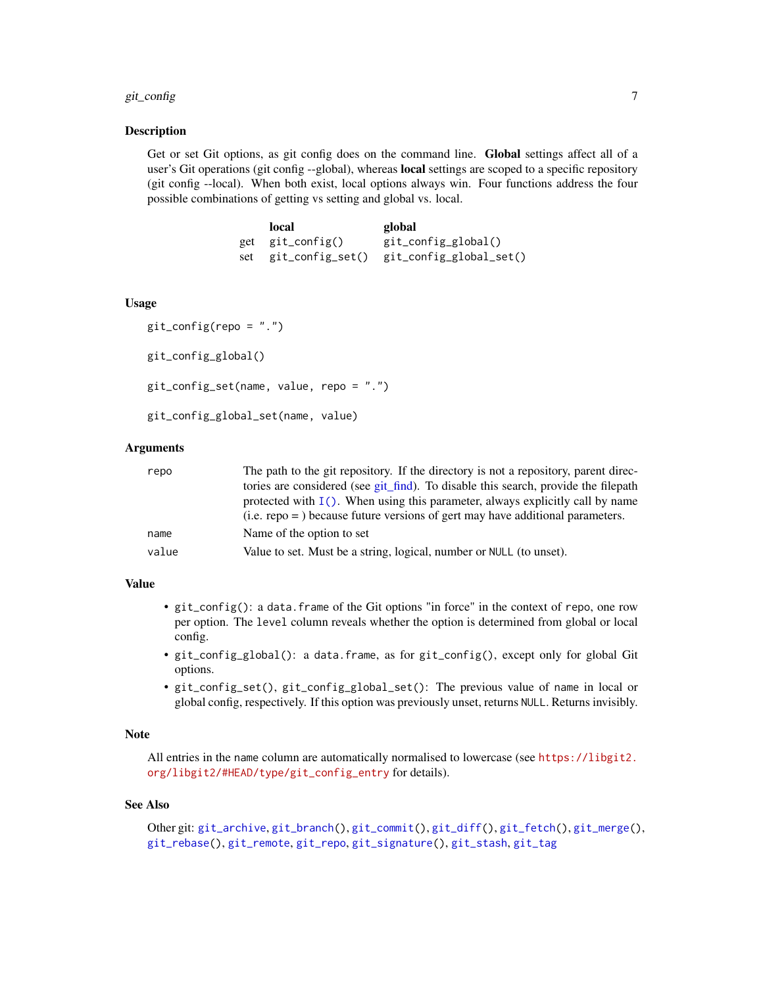#### <span id="page-6-0"></span>git\_config 7 and 2012 12:00 percent of the set of the set of the set of the set of the set of the set of the set of the set of the set of the set of the set of the set of the set of the set of the set of the set of the set

#### Description

Get or set Git options, as git config does on the command line. Global settings affect all of a user's Git operations (git config --global), whereas **local** settings are scoped to a specific repository (git config --local). When both exist, local options always win. Four functions address the four possible combinations of getting vs setting and global vs. local.

| local            | global                                       |
|------------------|----------------------------------------------|
| get git_config() | git_config_global()                          |
|                  | set git_config_set() git_config_global_set() |

#### Usage

```
git\_config(repo = "."')git_config_global()
git_config_set(name, value, repo = ".")
git_config_global_set(name, value)
```
#### Arguments

| repo  | The path to the git repository. If the directory is not a repository, parent direc- |
|-------|-------------------------------------------------------------------------------------|
|       | tories are considered (see git find). To disable this search, provide the filepath  |
|       | protected with $I()$ . When using this parameter, always explicitly call by name    |
|       | $(i.e.$ repo = $)$ because future versions of gert may have additional parameters.  |
| name  | Name of the option to set                                                           |
| value | Value to set. Must be a string, logical, number or NULL (to unset).                 |

# Value

- git\_config(): a data.frame of the Git options "in force" in the context of repo, one row per option. The level column reveals whether the option is determined from global or local config.
- git\_config\_global(): a data.frame, as for git\_config(), except only for global Git options.
- git\_config\_set(), git\_config\_global\_set(): The previous value of name in local or global config, respectively. If this option was previously unset, returns NULL. Returns invisibly.

### Note

All entries in the name column are automatically normalised to lowercase (see [https://libgit2.](https://libgit2.org/libgit2/#HEAD/type/git_config_entry) [org/libgit2/#HEAD/type/git\\_config\\_entry](https://libgit2.org/libgit2/#HEAD/type/git_config_entry) for details).

#### See Also

```
Other git: git_archive, git_branch(), git_commit(), git_diff(), git_fetch(), git_merge(),
git_rebase(), git_remote, git_repo, git_signature(), git_stash, git_tag
```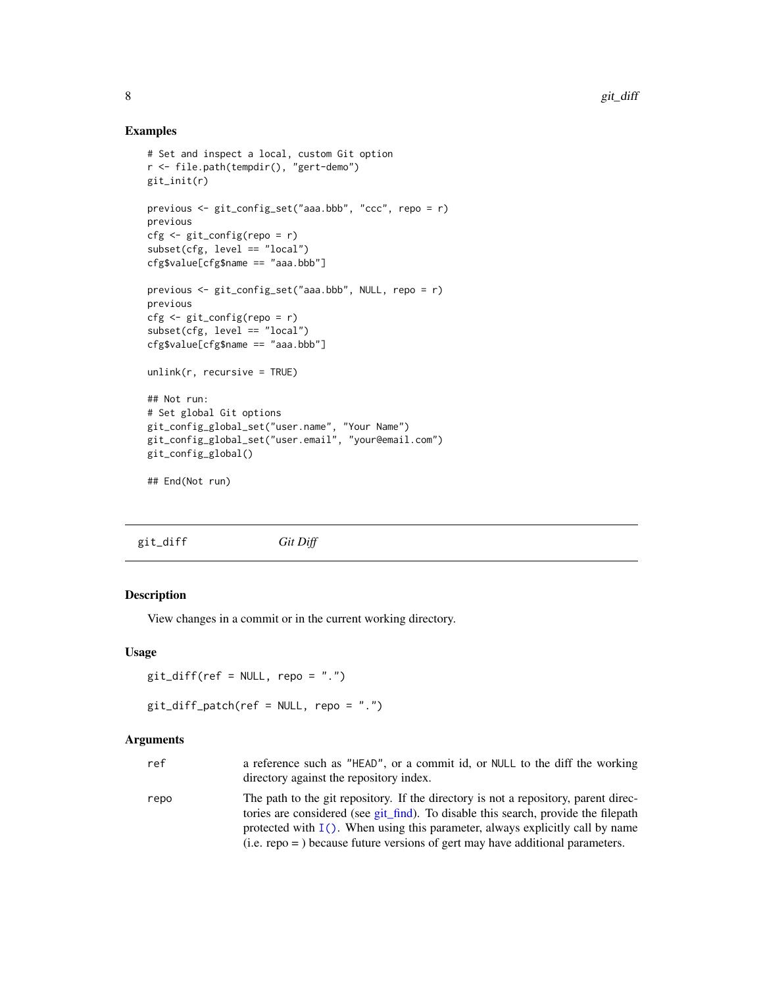#### Examples

```
# Set and inspect a local, custom Git option
r <- file.path(tempdir(), "gert-demo")
git_init(r)
previous <- git_config_set("aaa.bbb", "ccc", repo = r)
previous
cfg <- git_config(repo = r)
subset(cfg, level == "local")
cfg$value[cfg$name == "aaa.bbb"]
previous <- git_config_set("aaa.bbb", NULL, repo = r)
previous
cfg <- git_config(repo = r)
subset(cfg, level == "local")
cfg$value[cfg$name == "aaa.bbb"]
unlink(r, recursive = TRUE)
## Not run:
# Set global Git options
git_config_global_set("user.name", "Your Name")
git_config_global_set("user.email", "your@email.com")
git_config_global()
## End(Not run)
```
<span id="page-7-1"></span>git\_diff *Git Diff*

### Description

View changes in a commit or in the current working directory.

#### Usage

 $git\_diff(ref = NULL, repo = "."$ 

git\_diff\_patch(ref = NULL, repo = ".")

# Arguments

| ref  | a reference such as "HEAD", or a commit id, or NULL to the diff the working<br>directory against the repository index.                                                                                                                                        |
|------|---------------------------------------------------------------------------------------------------------------------------------------------------------------------------------------------------------------------------------------------------------------|
| repo | The path to the git repository. If the directory is not a repository, parent direc-<br>tories are considered (see git_find). To disable this search, provide the filepath<br>protected with $I()$ . When using this parameter, always explicitly call by name |
|      | $(i.e.$ repo = $)$ because future versions of gert may have additional parameters.                                                                                                                                                                            |

<span id="page-7-0"></span>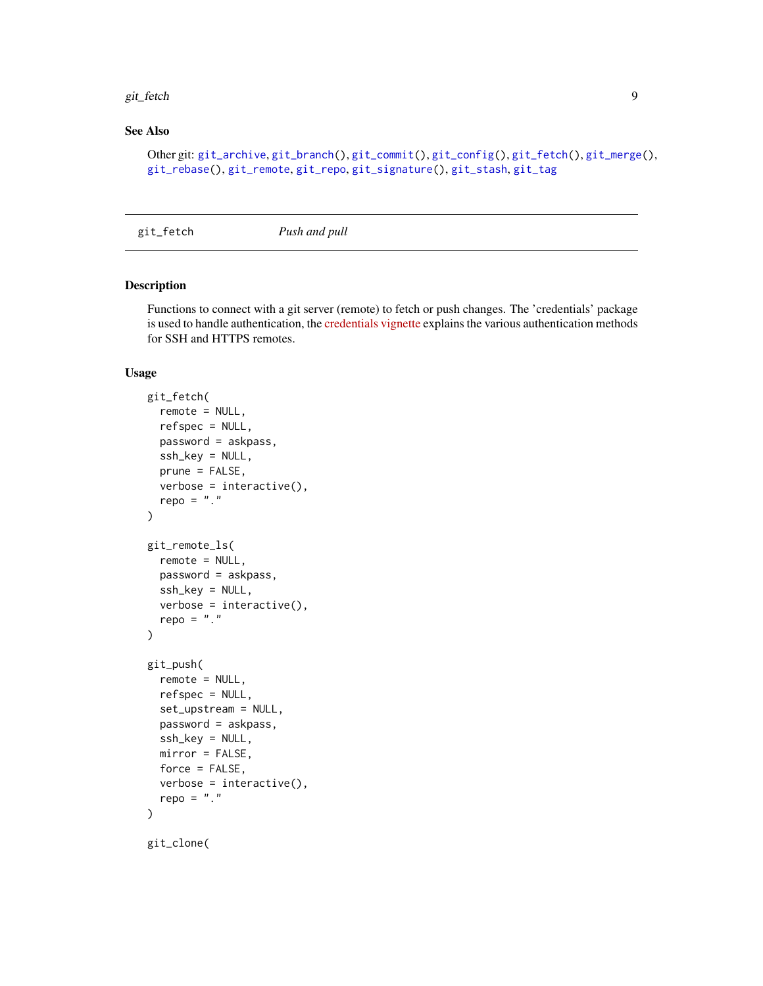#### <span id="page-8-0"></span>git\_fetch 99

# See Also

```
Other git: git_archive, git_branch(), git_commit(), git_config(), git_fetch(), git_merge(),
git_rebase(), git_remote, git_repo, git_signature(), git_stash, git_tag
```
<span id="page-8-1"></span>git\_fetch *Push and pull*

#### <span id="page-8-2"></span>Description

Functions to connect with a git server (remote) to fetch or push changes. The 'credentials' package is used to handle authentication, the [credentials vignette](https://docs.ropensci.org/credentials/articles/intro.html) explains the various authentication methods for SSH and HTTPS remotes.

#### Usage

```
git_fetch(
  remote = NULL,refspec = NULL,
  password = askpass,
  ssh_key = NULL,
  prune = FALSE,
  verbose = interactive(),
  repo = "."
)
git_remote_ls(
  remote = NULL,
 password = askpass,
  ssh_key = NULL,
  verbose = interface,repo = "."
)
git_push(
  remote = NULL,
  refspec = NULL,
  set_upstream = NULL,
  password = askpass,
  ssh_key = NULL,
 mirror = FALSE,
  force = FALSE,
  verbose = interactive(),repo = "."
)
git_clone(
```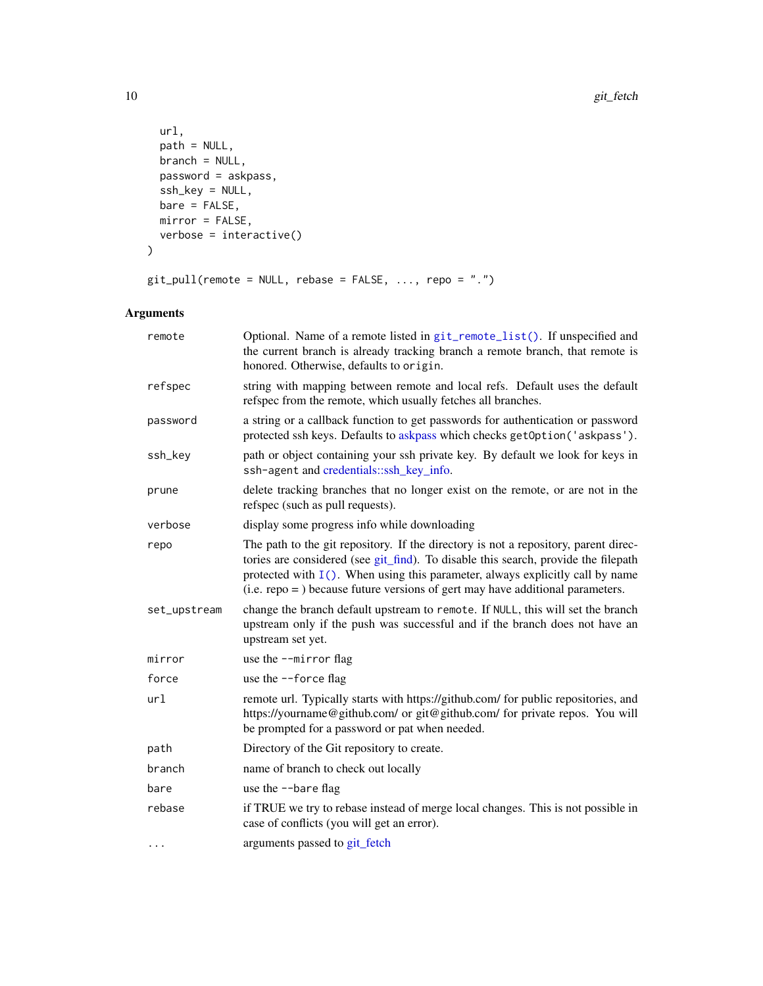```
url,
 path = NULL,
 branch = NULL,
 password = askpass,
 ssh_key = NULL,
 bare = FALSE,
 mirror = FALSE,
 verbose = interactive()
\mathcal{L}
```

```
git\_pull(remote = NULL, release = FALSE, ..., repo = "." )
```
# Arguments

| remote       | Optional. Name of a remote listed in git_remote_list(). If unspecified and<br>the current branch is already tracking branch a remote branch, that remote is<br>honored. Otherwise, defaults to origin.                                                                                                                                              |
|--------------|-----------------------------------------------------------------------------------------------------------------------------------------------------------------------------------------------------------------------------------------------------------------------------------------------------------------------------------------------------|
| refspec      | string with mapping between remote and local refs. Default uses the default<br>refspec from the remote, which usually fetches all branches.                                                                                                                                                                                                         |
| password     | a string or a callback function to get passwords for authentication or password<br>protected ssh keys. Defaults to askpass which checks getOption('askpass').                                                                                                                                                                                       |
| ssh_key      | path or object containing your ssh private key. By default we look for keys in<br>ssh-agent and credentials::ssh_key_info.                                                                                                                                                                                                                          |
| prune        | delete tracking branches that no longer exist on the remote, or are not in the<br>refspec (such as pull requests).                                                                                                                                                                                                                                  |
| verbose      | display some progress info while downloading                                                                                                                                                                                                                                                                                                        |
| repo         | The path to the git repository. If the directory is not a repository, parent direc-<br>tories are considered (see git_find). To disable this search, provide the filepath<br>protected with $I()$ . When using this parameter, always explicitly call by name<br>$(i.e.$ repo = $)$ because future versions of gert may have additional parameters. |
| set_upstream | change the branch default upstream to remote. If NULL, this will set the branch<br>upstream only if the push was successful and if the branch does not have an<br>upstream set yet.                                                                                                                                                                 |
| mirror       | use the --mirror flag                                                                                                                                                                                                                                                                                                                               |
| force        | use the --force flag                                                                                                                                                                                                                                                                                                                                |
| url          | remote url. Typically starts with https://github.com/ for public repositories, and<br>https://yourname@github.com/ or git@github.com/ for private repos. You will<br>be prompted for a password or pat when needed.                                                                                                                                 |
| path         | Directory of the Git repository to create.                                                                                                                                                                                                                                                                                                          |
| branch       | name of branch to check out locally                                                                                                                                                                                                                                                                                                                 |
| bare         | use the --bare flag                                                                                                                                                                                                                                                                                                                                 |
| rebase       | if TRUE we try to rebase instead of merge local changes. This is not possible in<br>case of conflicts (you will get an error).                                                                                                                                                                                                                      |
| $\cdots$     | arguments passed to git_fetch                                                                                                                                                                                                                                                                                                                       |

<span id="page-9-0"></span>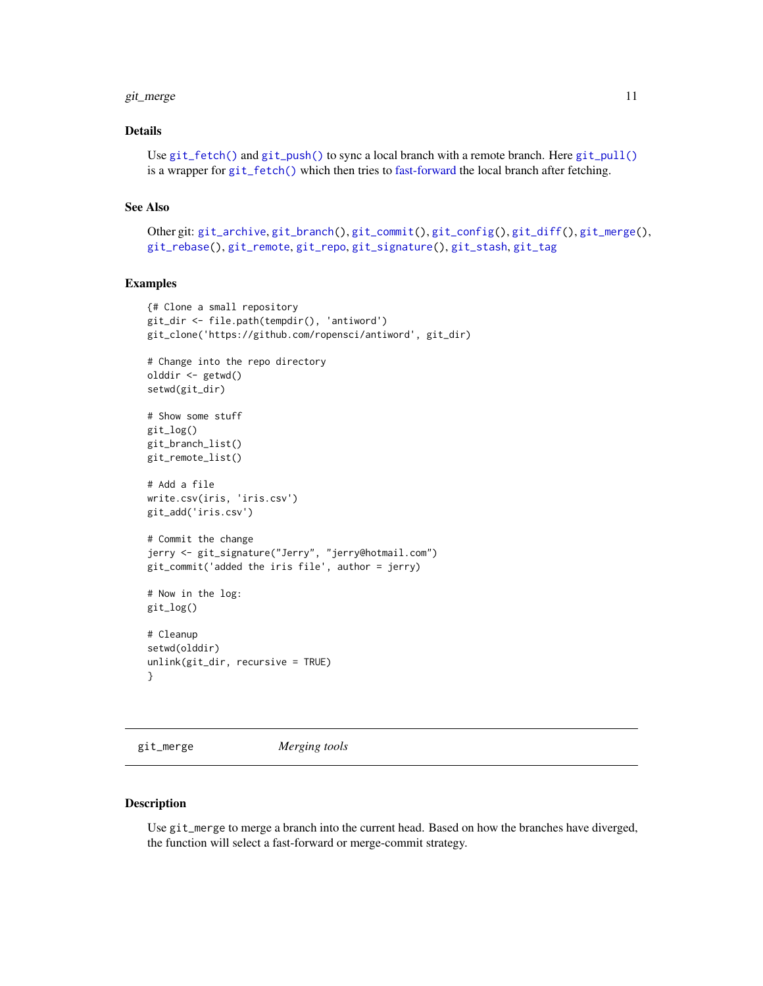#### <span id="page-10-0"></span>git\_merge 11

### Details

```
Use git_fetch() and git_push() to sync a local branch with a remote branch. Here git_pull()
is a wrapper for git_fetch() which then tries to fast-forward the local branch after fetching.
```
#### See Also

```
Other git: git_archive, git_branch(), git_commit(), git_config(), git_diff(), git_merge(),
git_rebase(), git_remote, git_repo, git_signature(), git_stash, git_tag
```
#### Examples

```
{# Clone a small repository
git_dir <- file.path(tempdir(), 'antiword')
git_clone('https://github.com/ropensci/antiword', git_dir)
# Change into the repo directory
olddir <- getwd()
setwd(git_dir)
# Show some stuff
git_log()
git_branch_list()
git_remote_list()
# Add a file
write.csv(iris, 'iris.csv')
git_add('iris.csv')
# Commit the change
jerry <- git_signature("Jerry", "jerry@hotmail.com")
git_commit('added the iris file', author = jerry)
# Now in the log:
git_log()
# Cleanup
setwd(olddir)
unlink(git_dir, recursive = TRUE)
}
```
<span id="page-10-1"></span>git\_merge *Merging tools*

#### Description

Use git\_merge to merge a branch into the current head. Based on how the branches have diverged, the function will select a fast-forward or merge-commit strategy.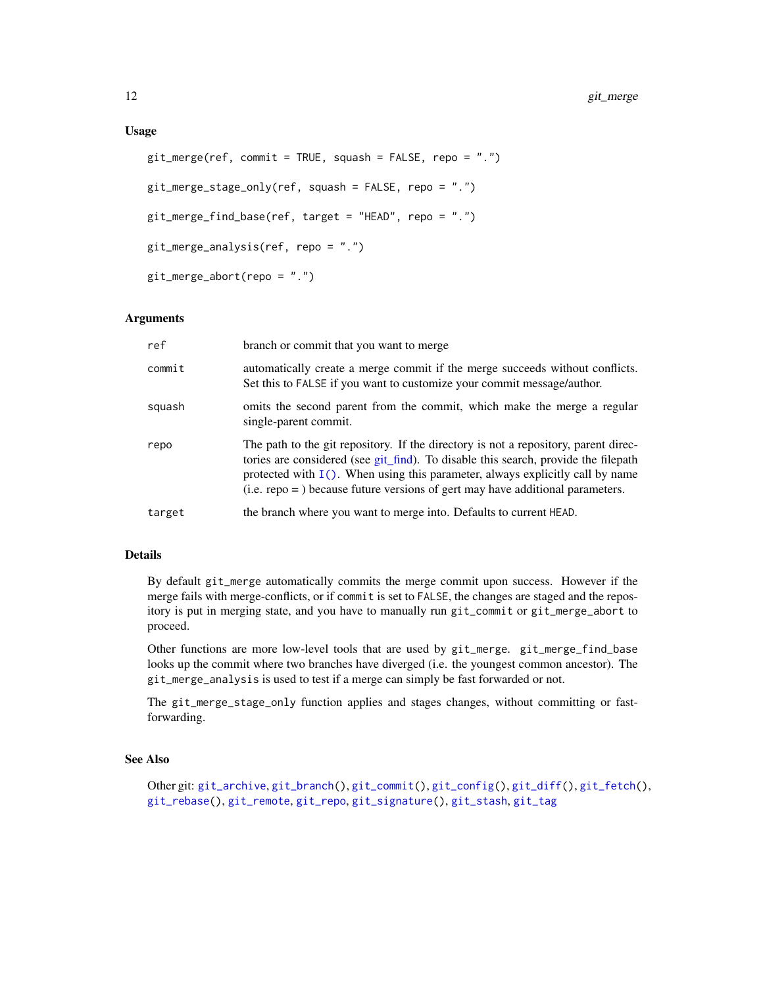```
git_merge(ref, commit = TRUE, squash = FALSE, repo = ".")
git_merge_stage_only(ref, squash = FALSE, repo = ".")
git_merge_find_base(ref, target = "HEAD", repo = ".")
git_merge_analysis(ref, repo = ".")
git_merge_abort(repo = ".")
```
#### Arguments

| ref    | branch or commit that you want to merge                                                                                                                                                                                                                                                                                                             |
|--------|-----------------------------------------------------------------------------------------------------------------------------------------------------------------------------------------------------------------------------------------------------------------------------------------------------------------------------------------------------|
| commit | automatically create a merge commit if the merge succeeds without conflicts.<br>Set this to FALSE if you want to customize your commit message/author.                                                                                                                                                                                              |
| squash | omits the second parent from the commit, which make the merge a regular<br>single-parent commit.                                                                                                                                                                                                                                                    |
| repo   | The path to the git repository. If the directory is not a repository, parent direc-<br>tories are considered (see git_find). To disable this search, provide the filepath<br>protected with $I()$ . When using this parameter, always explicitly call by name<br>$(i.e.$ repo = $)$ because future versions of gert may have additional parameters. |
| target | the branch where you want to merge into. Defaults to current HEAD.                                                                                                                                                                                                                                                                                  |

# Details

By default git\_merge automatically commits the merge commit upon success. However if the merge fails with merge-conflicts, or if commit is set to FALSE, the changes are staged and the repository is put in merging state, and you have to manually run git\_commit or git\_merge\_abort to proceed.

Other functions are more low-level tools that are used by git\_merge. git\_merge\_find\_base looks up the commit where two branches have diverged (i.e. the youngest common ancestor). The git\_merge\_analysis is used to test if a merge can simply be fast forwarded or not.

The git\_merge\_stage\_only function applies and stages changes, without committing or fastforwarding.

# See Also

```
Other git: git_archive, git_branch(), git_commit(), git_config(), git_diff(), git_fetch(),
git_rebase(), git_remote, git_repo, git_signature(), git_stash, git_tag
```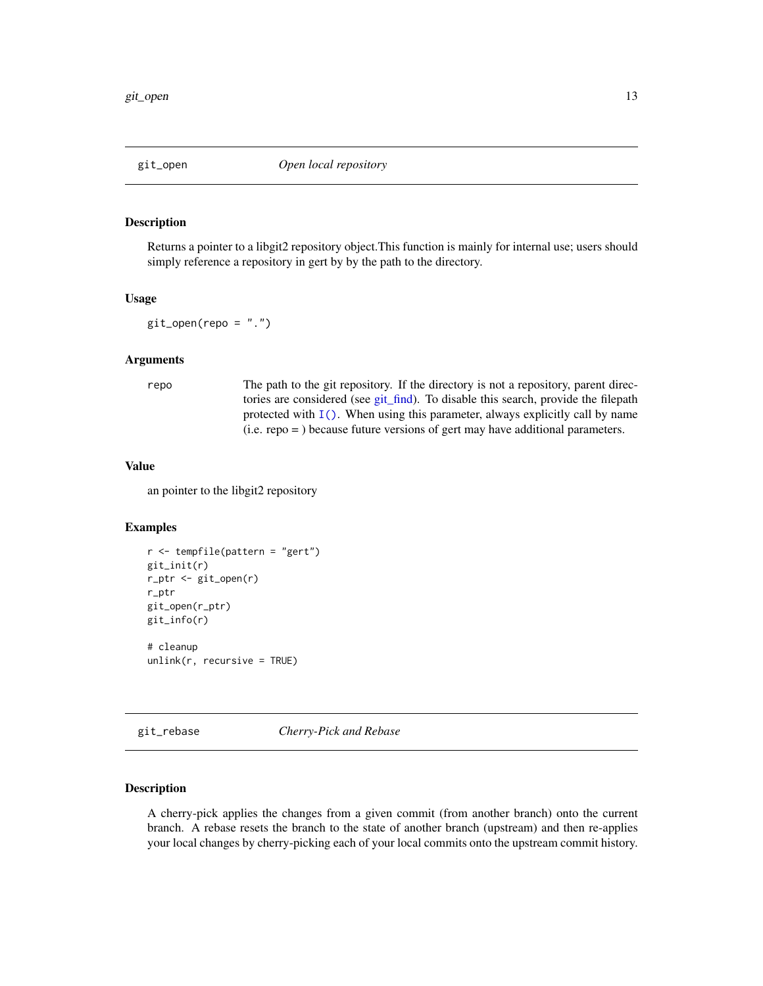#### <span id="page-12-2"></span><span id="page-12-0"></span>Description

Returns a pointer to a libgit2 repository object.This function is mainly for internal use; users should simply reference a repository in gert by by the path to the directory.

#### Usage

```
git\_open(repo = "."')
```
### Arguments

repo The path to the git repository. If the directory is not a repository, parent directories are considered (see [git\\_find\)](#page-14-1). To disable this search, provide the filepath protected with  $I(.)$ . When using this parameter, always explicitly call by name (i.e. repo = ) because future versions of gert may have additional parameters.

#### Value

an pointer to the libgit2 repository

#### Examples

```
r <- tempfile(pattern = "gert")
git_init(r)
r_ptr <- git_open(r)
r_ptr
git_open(r_ptr)
git_info(r)
# cleanup
unlink(r, recursive = TRUE)
```
<span id="page-12-1"></span>git\_rebase *Cherry-Pick and Rebase*

#### Description

A cherry-pick applies the changes from a given commit (from another branch) onto the current branch. A rebase resets the branch to the state of another branch (upstream) and then re-applies your local changes by cherry-picking each of your local commits onto the upstream commit history.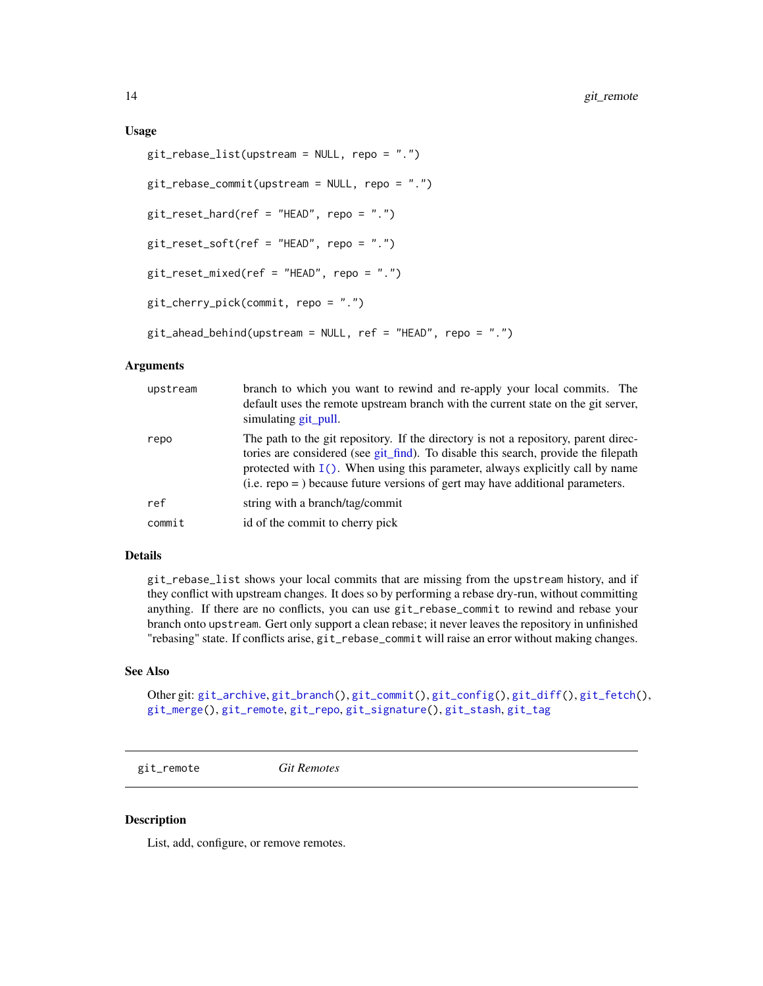#### <span id="page-13-0"></span>Usage

```
git_rebase_list(upstream = NULL, repo = ".")
git_rebase_commit(upstream = NULL, repo = ".")
git\_reset\_hard(ref = "HEAD", repo = "."')git_reset_soft(ref = "HEAD", repo = ".")
git_reset_mixed(ref = "HEAD", repo = ".")
git_cherry_pick(commit, repo = ".")
git_ahead_behind(upstream = NULL, ref = "HEAD", repo = ".")
```
#### Arguments

| upstream | branch to which you want to rewind and re-apply your local commits. The<br>default uses the remote upstream branch with the current state on the git server,<br>simulating git_pull.                                                                                                                                                             |
|----------|--------------------------------------------------------------------------------------------------------------------------------------------------------------------------------------------------------------------------------------------------------------------------------------------------------------------------------------------------|
| repo     | The path to the git repository. If the directory is not a repository, parent direc-<br>tories are considered (see git_find). To disable this search, provide the filepath<br>protected with $I()$ . When using this parameter, always explicitly call by name<br>$(i.e. repo =) because future versions of gert may have additional parameters.$ |
| ref      | string with a branch/tag/commit                                                                                                                                                                                                                                                                                                                  |
| commit   | id of the commit to cherry pick                                                                                                                                                                                                                                                                                                                  |

# Details

git\_rebase\_list shows your local commits that are missing from the upstream history, and if they conflict with upstream changes. It does so by performing a rebase dry-run, without committing anything. If there are no conflicts, you can use git\_rebase\_commit to rewind and rebase your branch onto upstream. Gert only support a clean rebase; it never leaves the repository in unfinished "rebasing" state. If conflicts arise, git\_rebase\_commit will raise an error without making changes.

# See Also

Other git: [git\\_archive](#page-1-1), [git\\_branch\(](#page-2-1)), [git\\_commit\(](#page-3-1)), [git\\_config\(](#page-5-1)), [git\\_diff\(](#page-7-1)), [git\\_fetch\(](#page-8-1)), [git\\_merge\(](#page-10-1)), [git\\_remote](#page-13-1), [git\\_repo](#page-14-2), [git\\_signature\(](#page-16-1)), [git\\_stash](#page-17-1), [git\\_tag](#page-18-1)

<span id="page-13-1"></span>git\_remote *Git Remotes*

#### <span id="page-13-2"></span>Description

List, add, configure, or remove remotes.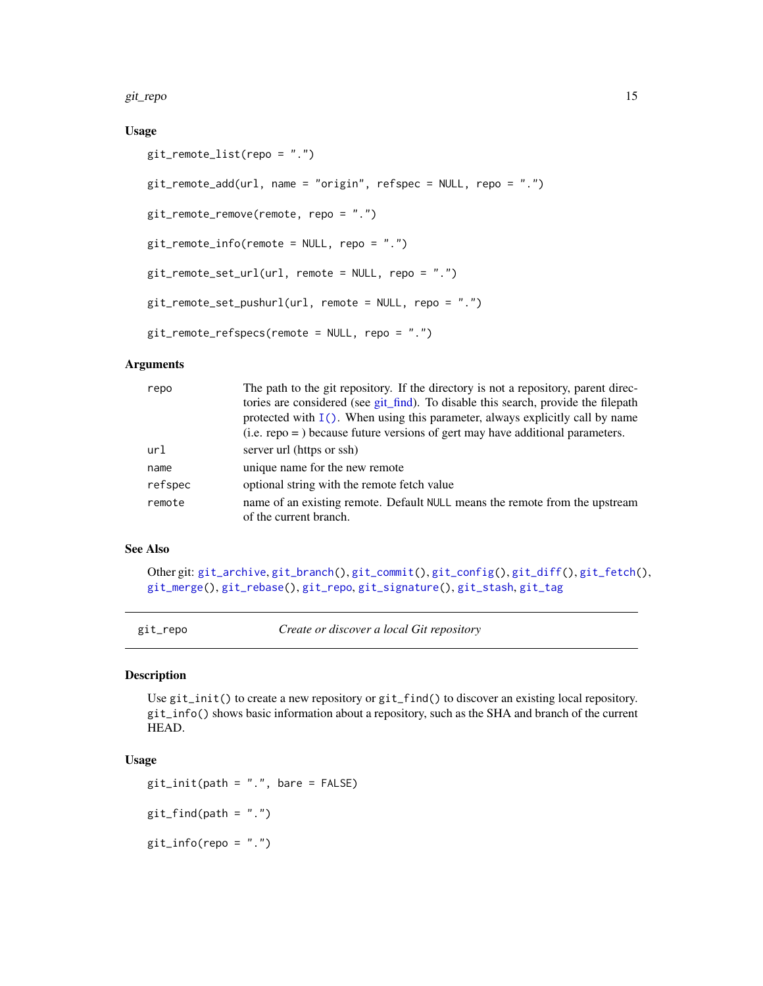<span id="page-14-0"></span>git\_repo 15

# Usage

```
git_remote_list(repo = ".")
git_remote_add(url, name = "origin", refspec = NULL, repo = ".")
git_remote_remove(remote, repo = ".")
git_remote_info(remote = NULL, repo = ".")
git_remote_set_url(url, remote = NULL, repo = ".")
git_remote_set_pushurl(url, remote = NULL, repo = ".")
git_remote_refspecs(remote = NULL, repo = ".")
```
#### Arguments

| repo    | The path to the git repository. If the directory is not a repository, parent direc-<br>tories are considered (see git_find). To disable this search, provide the filepath<br>protected with $I()$ . When using this parameter, always explicitly call by name |
|---------|---------------------------------------------------------------------------------------------------------------------------------------------------------------------------------------------------------------------------------------------------------------|
|         | $(i.e.$ repo = $)$ because future versions of gert may have additional parameters.                                                                                                                                                                            |
| url     | server url (https or ssh)                                                                                                                                                                                                                                     |
| name    | unique name for the new remote                                                                                                                                                                                                                                |
| refspec | optional string with the remote fetch value                                                                                                                                                                                                                   |
| remote  | name of an existing remote. Default NULL means the remote from the upstream<br>of the current branch.                                                                                                                                                         |

# See Also

Other git: [git\\_archive](#page-1-1), [git\\_branch\(](#page-2-1)), [git\\_commit\(](#page-3-1)), [git\\_config\(](#page-5-1)), [git\\_diff\(](#page-7-1)), [git\\_fetch\(](#page-8-1)), [git\\_merge\(](#page-10-1)), [git\\_rebase\(](#page-12-1)), [git\\_repo](#page-14-2), [git\\_signature\(](#page-16-1)), [git\\_stash](#page-17-1), [git\\_tag](#page-18-1)

<span id="page-14-2"></span>git\_repo *Create or discover a local Git repository*

#### <span id="page-14-1"></span>Description

Use git\_init() to create a new repository or git\_find() to discover an existing local repository. git\_info() shows basic information about a repository, such as the SHA and branch of the current HEAD.

# Usage

```
git\_init(path = ".", bare = FALSE)git_find(path = "."')git_info(repo = "."')
```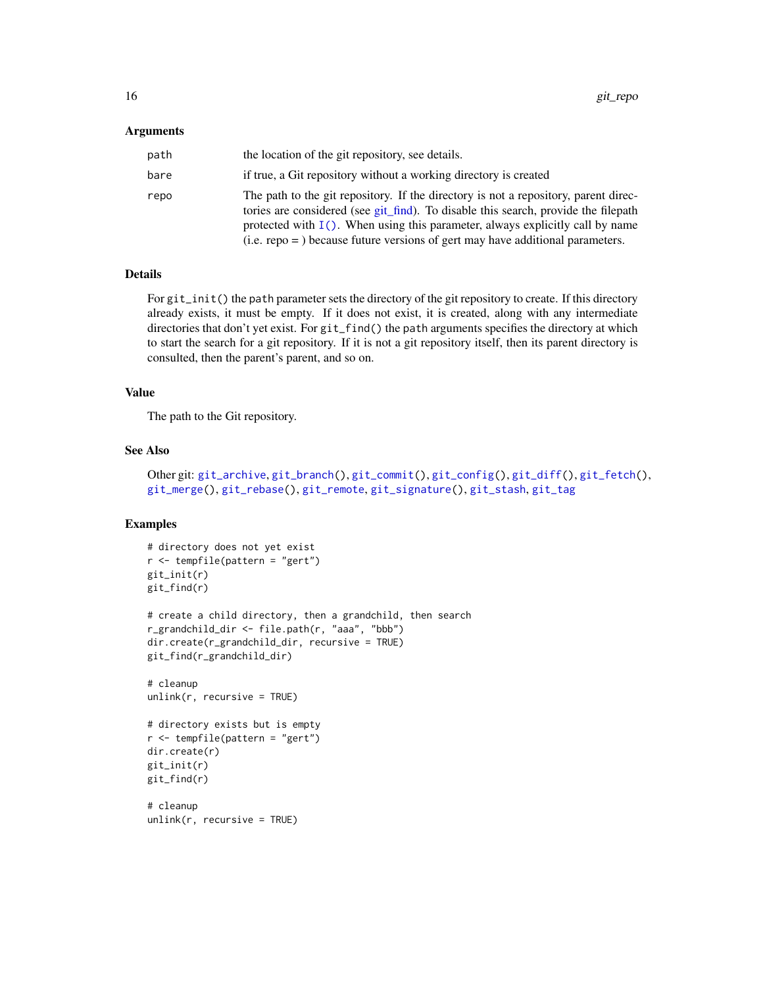#### <span id="page-15-0"></span>Arguments

| path | the location of the git repository, see details.                                                                                                                                                                                                                                                                                                    |
|------|-----------------------------------------------------------------------------------------------------------------------------------------------------------------------------------------------------------------------------------------------------------------------------------------------------------------------------------------------------|
| bare | if true, a Git repository without a working directory is created                                                                                                                                                                                                                                                                                    |
| repo | The path to the git repository. If the directory is not a repository, parent direc-<br>tories are considered (see git_find). To disable this search, provide the filepath<br>protected with $I()$ . When using this parameter, always explicitly call by name<br>$(i.e.$ repo = $)$ because future versions of gert may have additional parameters. |

# Details

For git\_init() the path parameter sets the directory of the git repository to create. If this directory already exists, it must be empty. If it does not exist, it is created, along with any intermediate directories that don't yet exist. For git\_find() the path arguments specifies the directory at which to start the search for a git repository. If it is not a git repository itself, then its parent directory is consulted, then the parent's parent, and so on.

#### Value

The path to the Git repository.

#### See Also

```
Other git: git_archive, git_branch(), git_commit(), git_config(), git_diff(), git_fetch(),
git_merge(), git_rebase(), git_remote, git_signature(), git_stash, git_tag
```
#### Examples

```
# directory does not yet exist
r <- tempfile(pattern = "gert")
git_init(r)
git_find(r)
# create a child directory, then a grandchild, then search
r_grandchild_dir <- file.path(r, "aaa", "bbb")
dir.create(r_grandchild_dir, recursive = TRUE)
git_find(r_grandchild_dir)
# cleanup
unlink(r, recursive = TRUE)
# directory exists but is empty
r <- tempfile(pattern = "gert")
dir.create(r)
git_init(r)
git_find(r)
# cleanup
unlink(r, recursive = TRUE)
```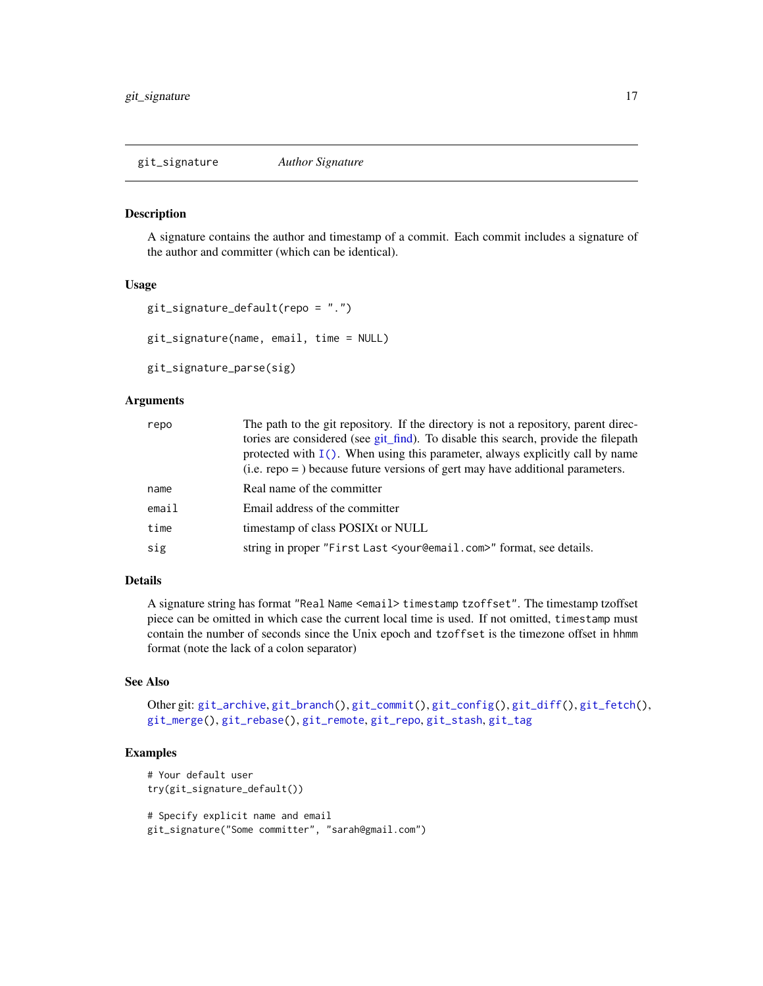<span id="page-16-1"></span><span id="page-16-0"></span>git\_signature *Author Signature*

#### <span id="page-16-2"></span>Description

A signature contains the author and timestamp of a commit. Each commit includes a signature of the author and committer (which can be identical).

#### Usage

```
git_signature_default(repo = ".")
git_signature(name, email, time = NULL)
```
git\_signature\_parse(sig)

### **Arguments**

| repo  | The path to the git repository. If the directory is not a repository, parent direc-<br>tories are considered (see git_find). To disable this search, provide the filepath<br>protected with $I()$ . When using this parameter, always explicitly call by name<br>$(i.e.$ repo = $)$ because future versions of gert may have additional parameters. |
|-------|-----------------------------------------------------------------------------------------------------------------------------------------------------------------------------------------------------------------------------------------------------------------------------------------------------------------------------------------------------|
| name  | Real name of the committer                                                                                                                                                                                                                                                                                                                          |
| email | Email address of the committer                                                                                                                                                                                                                                                                                                                      |
| time  | timestamp of class POSIXt or NULL                                                                                                                                                                                                                                                                                                                   |
| sig   | string in proper "First Last <your@email.com>" format, see details.</your@email.com>                                                                                                                                                                                                                                                                |

#### Details

A signature string has format "Real Name <email> timestamp tzoffset". The timestamp tzoffset piece can be omitted in which case the current local time is used. If not omitted, timestamp must contain the number of seconds since the Unix epoch and tzoffset is the timezone offset in hhmm format (note the lack of a colon separator)

# See Also

```
Other git: git_archive, git_branch(), git_commit(), git_config(), git_diff(), git_fetch(),
git_merge(), git_rebase(), git_remote, git_repo, git_stash, git_tag
```
#### Examples

```
# Your default user
try(git_signature_default())
# Specify explicit name and email
git_signature("Some committer", "sarah@gmail.com")
```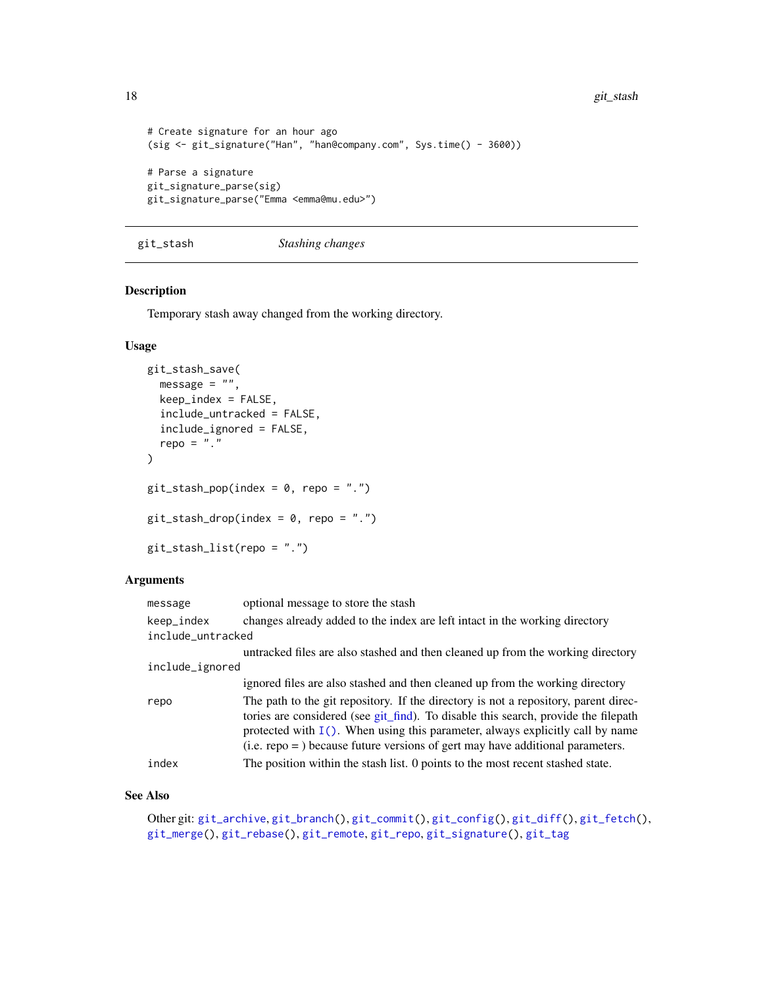18 git\_stash

```
# Create signature for an hour ago
(sig <- git_signature("Han", "han@company.com", Sys.time() - 3600))
# Parse a signature
git_signature_parse(sig)
git_signature_parse("Emma <emma@mu.edu>")
```
<span id="page-17-1"></span>git\_stash *Stashing changes*

#### Description

Temporary stash away changed from the working directory.

# Usage

```
git_stash_save(
 message = ",
 keep_index = FALSE,
  include_untracked = FALSE,
  include_ignored = FALSE,
 repo = "."
\mathcal{L}git\_stash\_pop(index = 0, repo = "."git\_stash\_drop(index = 0, repo = "."git_stash_list(repo = ".")
```
#### Arguments

| keep_index<br>changes already added to the index are left intact in the working directory<br>include_untracked<br>include_ignored<br>ignored files are also stashed and then cleaned up from the working directory<br>repo<br>$(i.e.$ repo = $)$ because future versions of gert may have additional parameters.<br>index<br>The position within the stash list. 0 points to the most recent stashed state. | message | optional message to store the stash                                                                                                                                                                                                                           |
|-------------------------------------------------------------------------------------------------------------------------------------------------------------------------------------------------------------------------------------------------------------------------------------------------------------------------------------------------------------------------------------------------------------|---------|---------------------------------------------------------------------------------------------------------------------------------------------------------------------------------------------------------------------------------------------------------------|
|                                                                                                                                                                                                                                                                                                                                                                                                             |         |                                                                                                                                                                                                                                                               |
|                                                                                                                                                                                                                                                                                                                                                                                                             |         |                                                                                                                                                                                                                                                               |
|                                                                                                                                                                                                                                                                                                                                                                                                             |         | untracked files are also stashed and then cleaned up from the working directory                                                                                                                                                                               |
|                                                                                                                                                                                                                                                                                                                                                                                                             |         |                                                                                                                                                                                                                                                               |
|                                                                                                                                                                                                                                                                                                                                                                                                             |         |                                                                                                                                                                                                                                                               |
|                                                                                                                                                                                                                                                                                                                                                                                                             |         | The path to the git repository. If the directory is not a repository, parent direc-<br>tories are considered (see git_find). To disable this search, provide the filepath<br>protected with $I()$ . When using this parameter, always explicitly call by name |
|                                                                                                                                                                                                                                                                                                                                                                                                             |         |                                                                                                                                                                                                                                                               |

# See Also

Other git: [git\\_archive](#page-1-1), [git\\_branch\(](#page-2-1)), [git\\_commit\(](#page-3-1)), [git\\_config\(](#page-5-1)), [git\\_diff\(](#page-7-1)), [git\\_fetch\(](#page-8-1)), [git\\_merge\(](#page-10-1)), [git\\_rebase\(](#page-12-1)), [git\\_remote](#page-13-1), [git\\_repo](#page-14-2), [git\\_signature\(](#page-16-1)), [git\\_tag](#page-18-1)

<span id="page-17-0"></span>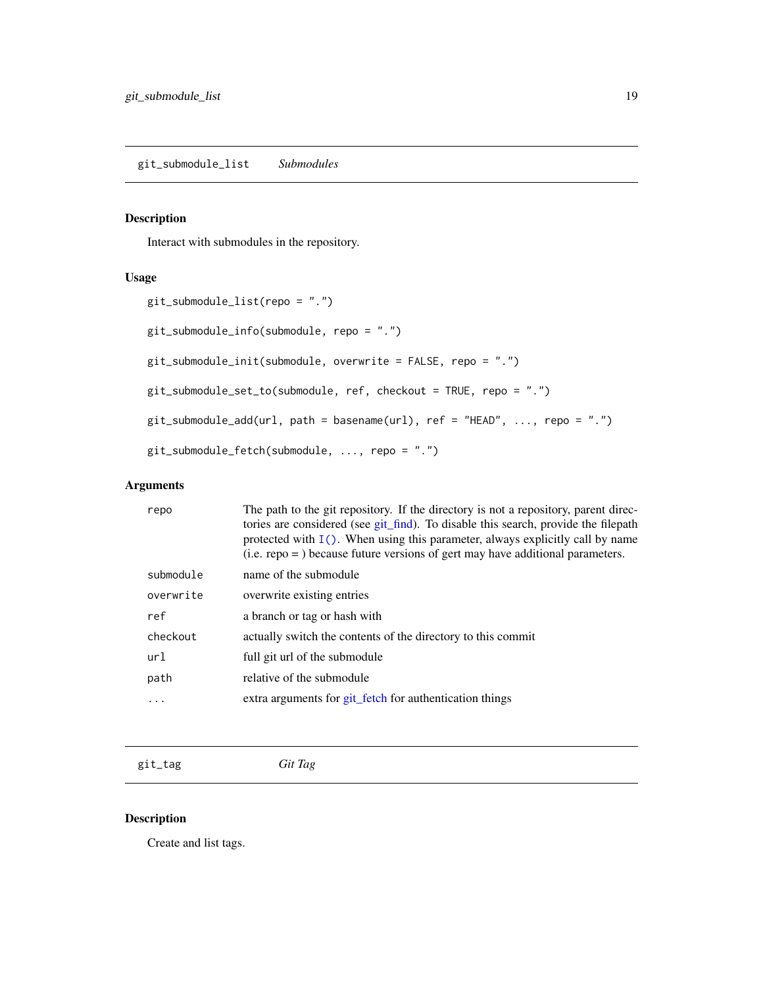# <span id="page-18-0"></span>Description

Interact with submodules in the repository.

### Usage

```
git_submodule_list(repo = ".")
git_submodule_info(submodule, repo = ".")
git_submodule_init(submodule, overwrite = FALSE, repo = ".")
git_submodule_set_to(submodule, ref, checkout = TRUE, repo = ".")
git_submodule_add(url, path = basename(url), ref = "HEAD", ..., repo = ".")
git_submodule_fetch(submodule, ..., repo = ".")
```
# Arguments

| repo      | The path to the git repository. If the directory is not a repository, parent direc-<br>tories are considered (see git_find). To disable this search, provide the filepath<br>protected with $I()$ . When using this parameter, always explicitly call by name<br>$(i.e.$ repo = $)$ because future versions of gert may have additional parameters. |
|-----------|-----------------------------------------------------------------------------------------------------------------------------------------------------------------------------------------------------------------------------------------------------------------------------------------------------------------------------------------------------|
| submodule | name of the submodule                                                                                                                                                                                                                                                                                                                               |
| overwrite | overwrite existing entries                                                                                                                                                                                                                                                                                                                          |
| ref       | a branch or tag or hash with                                                                                                                                                                                                                                                                                                                        |
| checkout  | actually switch the contents of the directory to this commit                                                                                                                                                                                                                                                                                        |
| url       | full git url of the submodule                                                                                                                                                                                                                                                                                                                       |
| path      | relative of the submodule                                                                                                                                                                                                                                                                                                                           |
| $\cdots$  | extra arguments for git_fetch for authentication things                                                                                                                                                                                                                                                                                             |
|           |                                                                                                                                                                                                                                                                                                                                                     |

<span id="page-18-1"></span>git\_tag *Git Tag*

# Description

Create and list tags.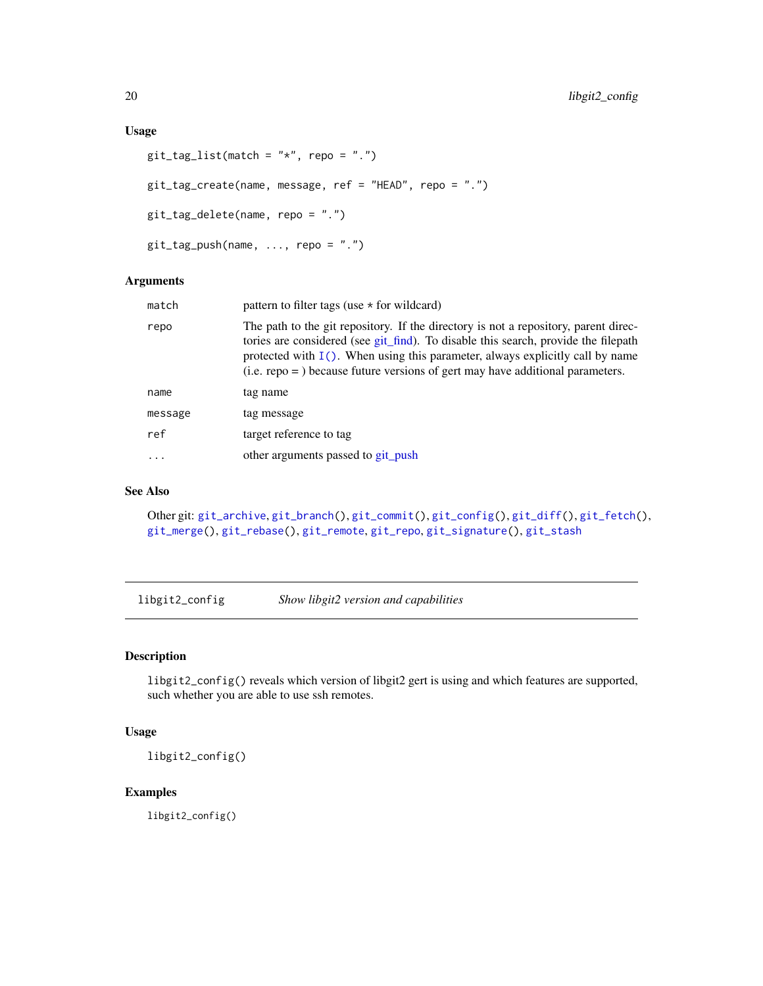### <span id="page-19-0"></span>Usage

```
git\_tag\_list(match = "*", repo = ".")git_tag_create(name, message, ref = "HEAD", repo = ".")
git_tag_delete(name, repo = ".")
git_tag_push(name, ..., repo = ".")
```
#### Arguments

| match     | pattern to filter tags (use $\star$ for wildcard)                                                                                                                                                                                                                                                                                                   |
|-----------|-----------------------------------------------------------------------------------------------------------------------------------------------------------------------------------------------------------------------------------------------------------------------------------------------------------------------------------------------------|
| repo      | The path to the git repository. If the directory is not a repository, parent direc-<br>tories are considered (see git_find). To disable this search, provide the filepath<br>protected with $I()$ . When using this parameter, always explicitly call by name<br>$(i.e.$ repo = $)$ because future versions of gert may have additional parameters. |
| name      | tag name                                                                                                                                                                                                                                                                                                                                            |
| message   | tag message                                                                                                                                                                                                                                                                                                                                         |
| ref       | target reference to tag                                                                                                                                                                                                                                                                                                                             |
| $\ddotsc$ | other arguments passed to git push                                                                                                                                                                                                                                                                                                                  |
|           |                                                                                                                                                                                                                                                                                                                                                     |

# See Also

```
Other git: git_archive, git_branch(), git_commit(), git_config(), git_diff(), git_fetch(),
git_merge(), git_rebase(), git_remote, git_repo, git_signature(), git_stash
```
libgit2\_config *Show libgit2 version and capabilities*

# Description

libgit2\_config() reveals which version of libgit2 gert is using and which features are supported, such whether you are able to use ssh remotes.

# Usage

libgit2\_config()

#### Examples

libgit2\_config()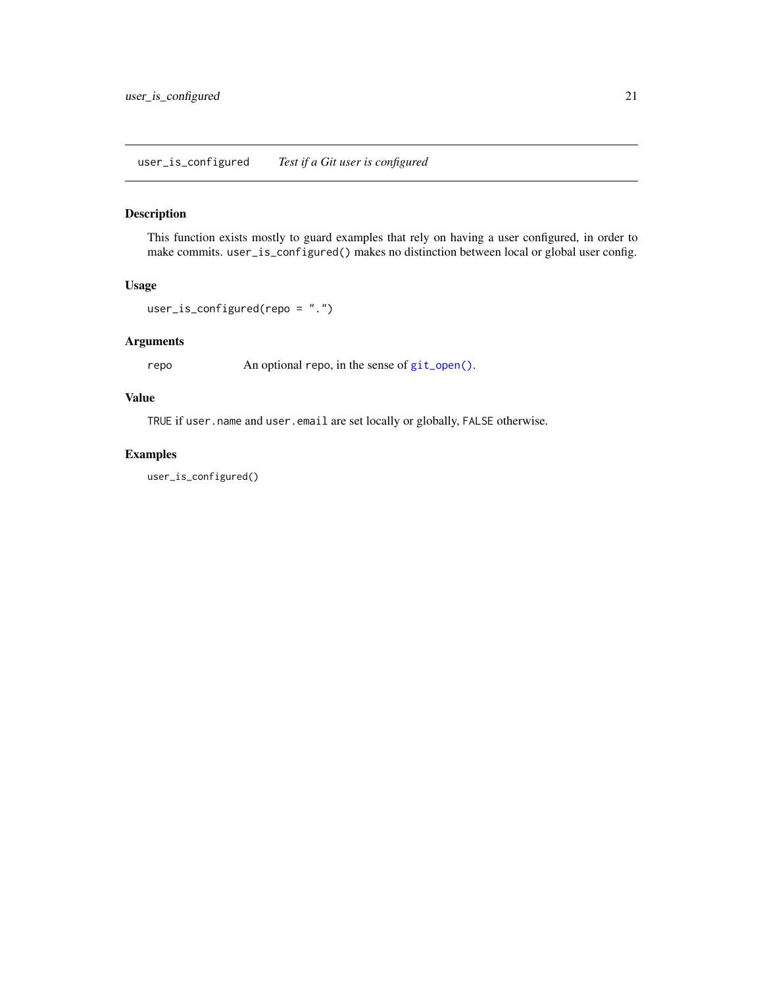# <span id="page-20-0"></span>Description

This function exists mostly to guard examples that rely on having a user configured, in order to make commits. user\_is\_configured() makes no distinction between local or global user config.

#### Usage

```
user_is_configured(repo = ".")
```
# Arguments

repo An optional repo, in the sense of [git\\_open\(\)](#page-12-2).

# Value

TRUE if user.name and user.email are set locally or globally, FALSE otherwise.

# Examples

user\_is\_configured()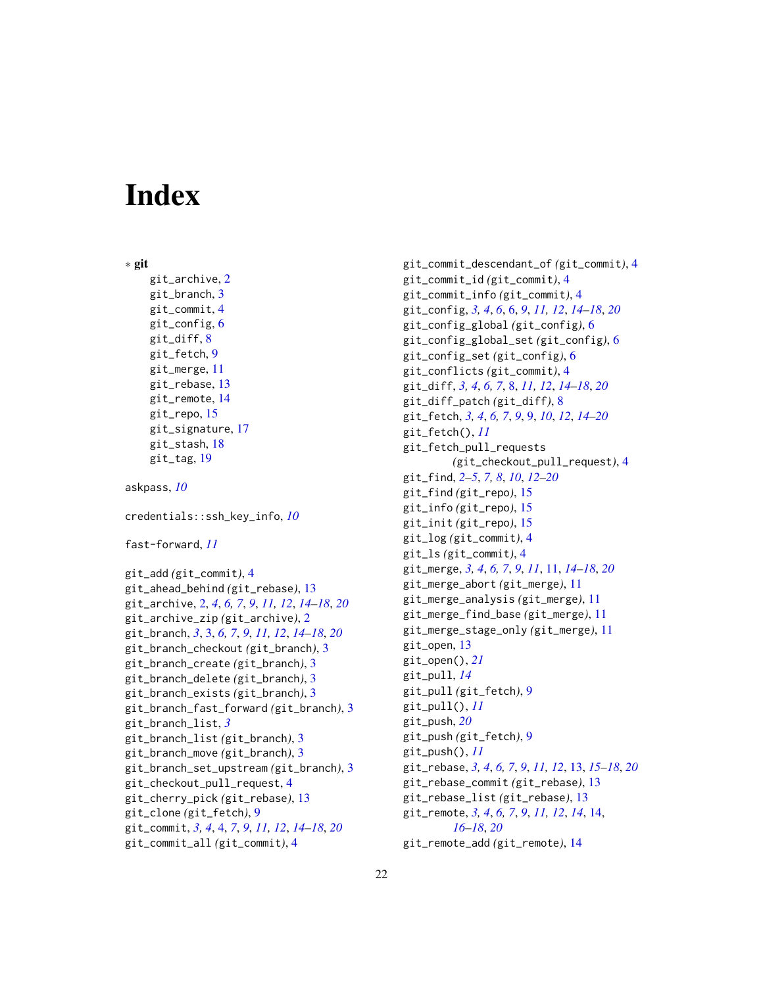# <span id="page-21-0"></span>**Index**

```
∗ git
    git_archive, 2
    git_branch, 3
    git_commit, 4
    git_config, 6
    git_diff, 8
    git_fetch, 9
    git_merge, 11
    git_rebase, 13
    git_remote, 14
    git_repo, 15
    git_signature, 17
    git_stash, 18
    git_tag, 19
askpass, 10
credentials::ssh_key_info, 10
fast-forward, 11
git_add (git_commit), 4
git_ahead_behind (git_rebase), 13
git_archive, 2, 4, 6, 7, 9, 11, 12, 14–18, 20
git_archive_zip (git_archive), 2
git_branch, 3, 3, 6, 7, 9, 11, 12, 14–18, 20
git_branch_checkout (git_branch), 3
git_branch_create (git_branch), 3
git_branch_delete (git_branch), 3
git_branch_exists (git_branch), 3
git_branch_fast_forward (git_branch), 3
git_branch_list, 3
git_branch_list (git_branch), 3
git_branch_move (git_branch), 3
git_branch_set_upstream (git_branch), 3
git_checkout_pull_request, 4
git_cherry_pick (git_rebase), 13
git_clone (git_fetch), 9
git_commit, 3, 4, 4, 7, 9, 11, 12, 14–18, 20
git_commit_all (git_commit), 4
```
git\_commit\_descendant\_of *(*git\_commit*)*, [4](#page-3-0) git\_commit\_id *(*git\_commit*)*, [4](#page-3-0) git\_commit\_info *(*git\_commit*)*, [4](#page-3-0) git\_config, *[3,](#page-2-0) [4](#page-3-0)*, *[6](#page-5-0)*, [6,](#page-5-0) *[9](#page-8-0)*, *[11,](#page-10-0) [12](#page-11-0)*, *[14](#page-13-0)[–18](#page-17-0)*, *[20](#page-19-0)* git\_config\_global *(*git\_config*)*, [6](#page-5-0) git\_config\_global\_set *(*git\_config*)*, [6](#page-5-0) git\_config\_set *(*git\_config*)*, [6](#page-5-0) git\_conflicts *(*git\_commit*)*, [4](#page-3-0) git\_diff, *[3,](#page-2-0) [4](#page-3-0)*, *[6,](#page-5-0) [7](#page-6-0)*, [8,](#page-7-0) *[11,](#page-10-0) [12](#page-11-0)*, *[14](#page-13-0)[–18](#page-17-0)*, *[20](#page-19-0)* git\_diff\_patch *(*git\_diff*)*, [8](#page-7-0) git\_fetch, *[3,](#page-2-0) [4](#page-3-0)*, *[6,](#page-5-0) [7](#page-6-0)*, *[9](#page-8-0)*, [9,](#page-8-0) *[10](#page-9-0)*, *[12](#page-11-0)*, *[14](#page-13-0)[–20](#page-19-0)* git\_fetch(), *[11](#page-10-0)* git\_fetch\_pull\_requests *(*git\_checkout\_pull\_request*)*, [4](#page-3-0) git\_find, *[2](#page-1-0)[–5](#page-4-0)*, *[7,](#page-6-0) [8](#page-7-0)*, *[10](#page-9-0)*, *[12](#page-11-0)[–20](#page-19-0)* git\_find *(*git\_repo*)*, [15](#page-14-0) git\_info *(*git\_repo*)*, [15](#page-14-0) git\_init *(*git\_repo*)*, [15](#page-14-0) git\_log *(*git\_commit*)*, [4](#page-3-0) git\_ls *(*git\_commit*)*, [4](#page-3-0) git\_merge, *[3,](#page-2-0) [4](#page-3-0)*, *[6,](#page-5-0) [7](#page-6-0)*, *[9](#page-8-0)*, *[11](#page-10-0)*, [11,](#page-10-0) *[14](#page-13-0)[–18](#page-17-0)*, *[20](#page-19-0)* git\_merge\_abort *(*git\_merge*)*, [11](#page-10-0) git\_merge\_analysis *(*git\_merge*)*, [11](#page-10-0) git\_merge\_find\_base *(*git\_merge*)*, [11](#page-10-0) git\_merge\_stage\_only *(*git\_merge*)*, [11](#page-10-0) git\_open, [13](#page-12-0) git\_open(), *[21](#page-20-0)* git\_pull, *[14](#page-13-0)* git\_pull *(*git\_fetch*)*, [9](#page-8-0) git\_pull(), *[11](#page-10-0)* git\_push, *[20](#page-19-0)* git\_push *(*git\_fetch*)*, [9](#page-8-0) git\_push(), *[11](#page-10-0)* git\_rebase, *[3,](#page-2-0) [4](#page-3-0)*, *[6,](#page-5-0) [7](#page-6-0)*, *[9](#page-8-0)*, *[11,](#page-10-0) [12](#page-11-0)*, [13,](#page-12-0) *[15](#page-14-0)[–18](#page-17-0)*, *[20](#page-19-0)* git\_rebase\_commit *(*git\_rebase*)*, [13](#page-12-0) git\_rebase\_list *(*git\_rebase*)*, [13](#page-12-0) git\_remote, *[3,](#page-2-0) [4](#page-3-0)*, *[6,](#page-5-0) [7](#page-6-0)*, *[9](#page-8-0)*, *[11,](#page-10-0) [12](#page-11-0)*, *[14](#page-13-0)*, [14,](#page-13-0) *[16](#page-15-0)[–18](#page-17-0)*, *[20](#page-19-0)* git\_remote\_add *(*git\_remote*)*, [14](#page-13-0)